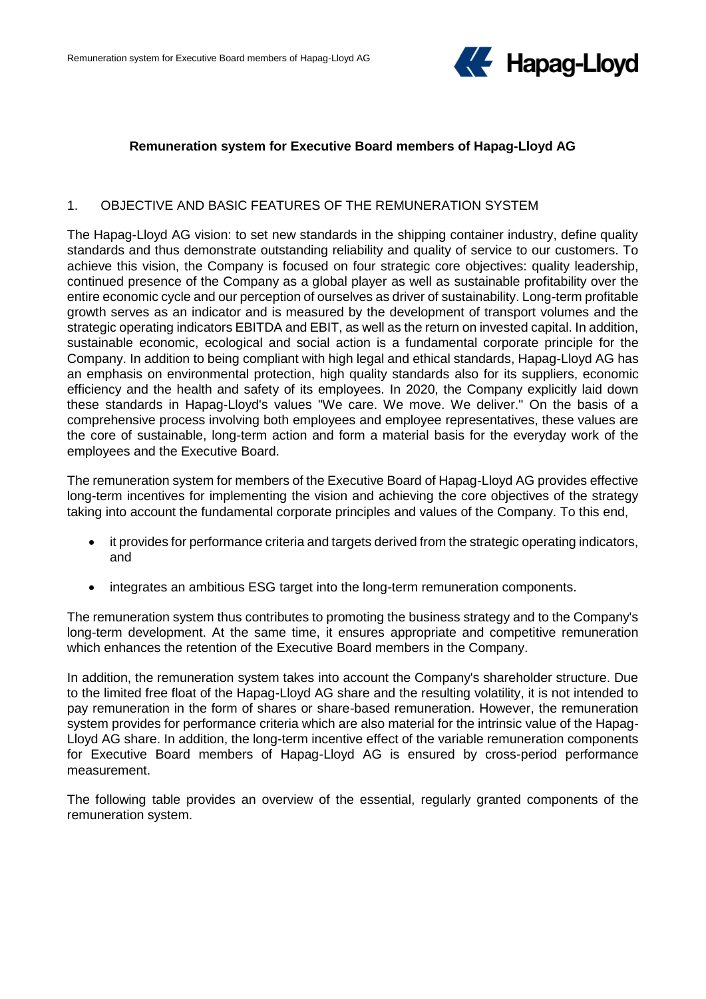

### **Remuneration system for Executive Board members of Hapag-Lloyd AG**

### 1. OBJECTIVE AND BASIC FEATURES OF THE REMUNERATION SYSTEM

The Hapag-Lloyd AG vision: to set new standards in the shipping container industry, define quality standards and thus demonstrate outstanding reliability and quality of service to our customers. To achieve this vision, the Company is focused on four strategic core objectives: quality leadership, continued presence of the Company as a global player as well as sustainable profitability over the entire economic cycle and our perception of ourselves as driver of sustainability. Long-term profitable growth serves as an indicator and is measured by the development of transport volumes and the strategic operating indicators EBITDA and EBIT, as well as the return on invested capital. In addition, sustainable economic, ecological and social action is a fundamental corporate principle for the Company. In addition to being compliant with high legal and ethical standards, Hapag-Lloyd AG has an emphasis on environmental protection, high quality standards also for its suppliers, economic efficiency and the health and safety of its employees. In 2020, the Company explicitly laid down these standards in Hapag-Lloyd's values "We care. We move. We deliver." On the basis of a comprehensive process involving both employees and employee representatives, these values are the core of sustainable, long-term action and form a material basis for the everyday work of the employees and the Executive Board.

The remuneration system for members of the Executive Board of Hapag-Lloyd AG provides effective long-term incentives for implementing the vision and achieving the core objectives of the strategy taking into account the fundamental corporate principles and values of the Company. To this end,

- it provides for performance criteria and targets derived from the strategic operating indicators, and
- integrates an ambitious ESG target into the long-term remuneration components.

The remuneration system thus contributes to promoting the business strategy and to the Company's long-term development. At the same time, it ensures appropriate and competitive remuneration which enhances the retention of the Executive Board members in the Company.

In addition, the remuneration system takes into account the Company's shareholder structure. Due to the limited free float of the Hapag-Lloyd AG share and the resulting volatility, it is not intended to pay remuneration in the form of shares or share-based remuneration. However, the remuneration system provides for performance criteria which are also material for the intrinsic value of the Hapag-Lloyd AG share. In addition, the long-term incentive effect of the variable remuneration components for Executive Board members of Hapag-Lloyd AG is ensured by cross-period performance measurement.

The following table provides an overview of the essential, regularly granted components of the remuneration system.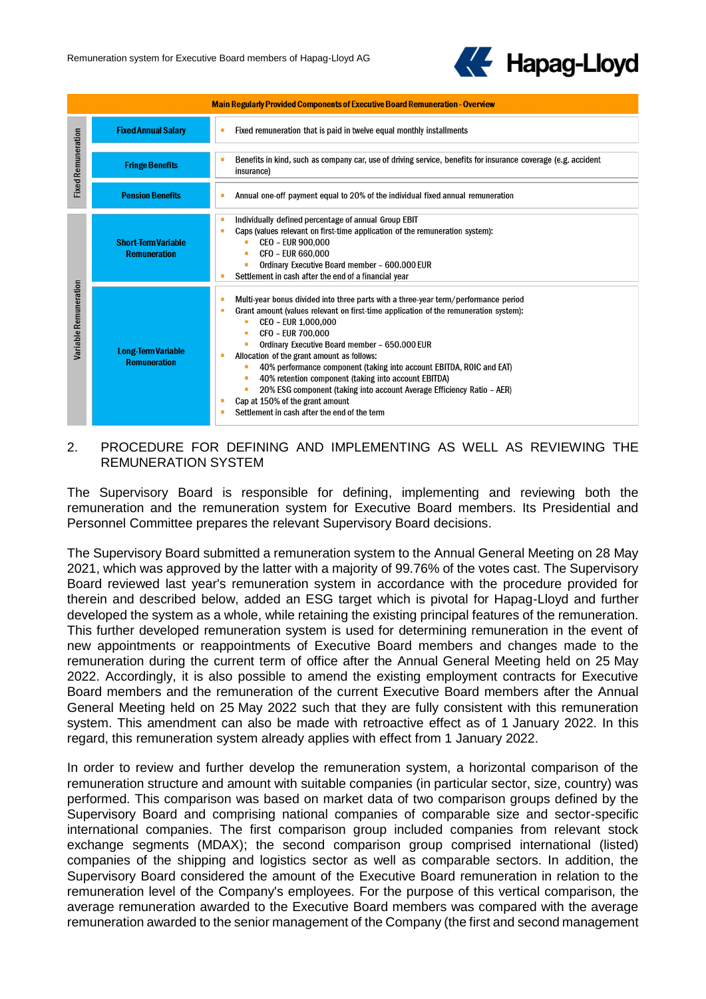

| <b>Main Regularly Provided Components of Executive Board Remuneration - Overview</b> |                                                   |                                                                                                                                                                                                                                                                                                                                                                                                                                                                                                                                                                                                                                    |  |  |  |  |
|--------------------------------------------------------------------------------------|---------------------------------------------------|------------------------------------------------------------------------------------------------------------------------------------------------------------------------------------------------------------------------------------------------------------------------------------------------------------------------------------------------------------------------------------------------------------------------------------------------------------------------------------------------------------------------------------------------------------------------------------------------------------------------------------|--|--|--|--|
| <b>Fixed Remuneration</b>                                                            | <b>Fixed Annual Salary</b>                        | Fixed remuneration that is paid in twelve equal monthly installments<br>п                                                                                                                                                                                                                                                                                                                                                                                                                                                                                                                                                          |  |  |  |  |
|                                                                                      | <b>Fringe Benefits</b>                            | Benefits in kind, such as company car, use of driving service, benefits for insurance coverage (e.g. accident<br>л<br>insurance)                                                                                                                                                                                                                                                                                                                                                                                                                                                                                                   |  |  |  |  |
|                                                                                      | <b>Pension Benefits</b>                           | Annual one-off payment equal to 20% of the individual fixed annual remuneration<br>л                                                                                                                                                                                                                                                                                                                                                                                                                                                                                                                                               |  |  |  |  |
| Variable Remuneration                                                                | <b>Short-Term Variable</b><br><b>Remuneration</b> | Individually defined percentage of annual Group EBIT<br>٠<br>Caps (values relevant on first-time application of the remuneration system):<br>٠<br><b>CEO - EUR 900.000</b><br>CFO - EUR 660,000<br>Ordinary Executive Board member - 600,000 EUR<br>Settlement in cash after the end of a financial year                                                                                                                                                                                                                                                                                                                           |  |  |  |  |
|                                                                                      | <b>Long-Term Variable</b><br><b>Remuneration</b>  | Multi-year bonus divided into three parts with a three-year term/performance period<br>п<br>Grant amount (values relevant on first-time application of the remuneration system):<br>п<br>CEO - EUR 1.000.000<br>CFO - EUR 700,000<br>Ordinary Executive Board member - 650.000 EUR<br>Allocation of the grant amount as follows:<br>40% performance component (taking into account EBITDA, ROIC and EAT)<br>40% retention component (taking into account EBITDA)<br>٠<br>20% ESG component (taking into account Average Efficiency Ratio – AER)<br>Cap at 150% of the grant amount<br>Settlement in cash after the end of the term |  |  |  |  |

# 2. PROCEDURE FOR DEFINING AND IMPLEMENTING AS WELL AS REVIEWING THE REMUNERATION SYSTEM

The Supervisory Board is responsible for defining, implementing and reviewing both the remuneration and the remuneration system for Executive Board members. Its Presidential and Personnel Committee prepares the relevant Supervisory Board decisions.

The Supervisory Board submitted a remuneration system to the Annual General Meeting on 28 May 2021, which was approved by the latter with a majority of 99.76% of the votes cast. The Supervisory Board reviewed last year's remuneration system in accordance with the procedure provided for therein and described below, added an ESG target which is pivotal for Hapag-Lloyd and further developed the system as a whole, while retaining the existing principal features of the remuneration. This further developed remuneration system is used for determining remuneration in the event of new appointments or reappointments of Executive Board members and changes made to the remuneration during the current term of office after the Annual General Meeting held on 25 May 2022. Accordingly, it is also possible to amend the existing employment contracts for Executive Board members and the remuneration of the current Executive Board members after the Annual General Meeting held on 25 May 2022 such that they are fully consistent with this remuneration system. This amendment can also be made with retroactive effect as of 1 January 2022. In this regard, this remuneration system already applies with effect from 1 January 2022.

In order to review and further develop the remuneration system, a horizontal comparison of the remuneration structure and amount with suitable companies (in particular sector, size, country) was performed. This comparison was based on market data of two comparison groups defined by the Supervisory Board and comprising national companies of comparable size and sector-specific international companies. The first comparison group included companies from relevant stock exchange segments (MDAX); the second comparison group comprised international (listed) companies of the shipping and logistics sector as well as comparable sectors. In addition, the Supervisory Board considered the amount of the Executive Board remuneration in relation to the remuneration level of the Company's employees. For the purpose of this vertical comparison, the average remuneration awarded to the Executive Board members was compared with the average remuneration awarded to the senior management of the Company (the first and second management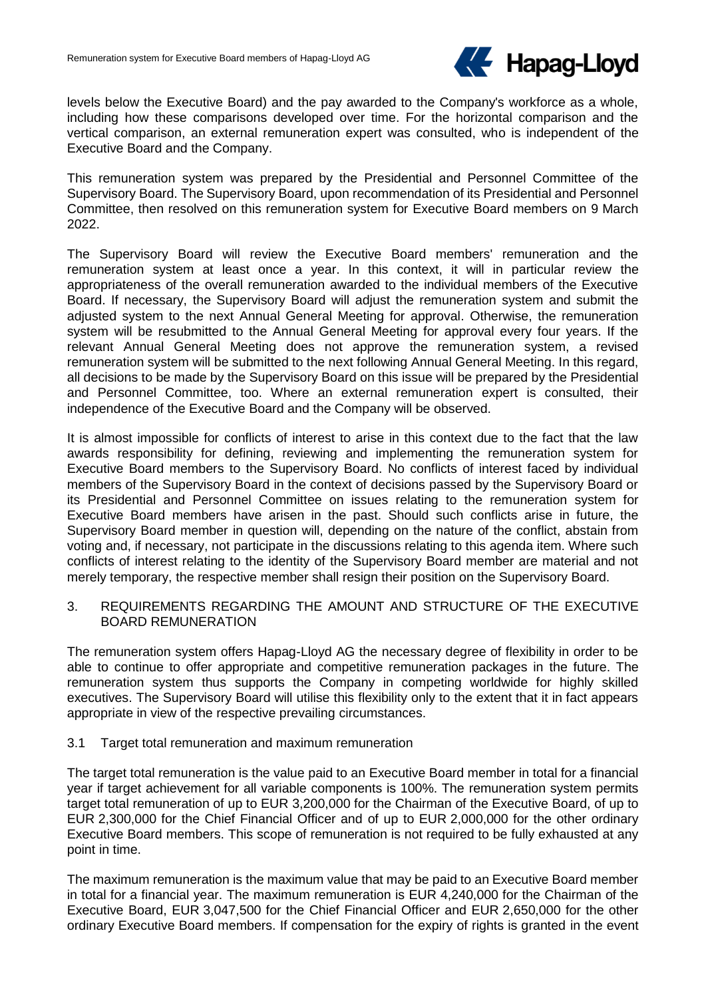

levels below the Executive Board) and the pay awarded to the Company's workforce as a whole, including how these comparisons developed over time. For the horizontal comparison and the vertical comparison, an external remuneration expert was consulted, who is independent of the Executive Board and the Company.

This remuneration system was prepared by the Presidential and Personnel Committee of the Supervisory Board. The Supervisory Board, upon recommendation of its Presidential and Personnel Committee, then resolved on this remuneration system for Executive Board members on 9 March 2022.

The Supervisory Board will review the Executive Board members' remuneration and the remuneration system at least once a year. In this context, it will in particular review the appropriateness of the overall remuneration awarded to the individual members of the Executive Board. If necessary, the Supervisory Board will adjust the remuneration system and submit the adjusted system to the next Annual General Meeting for approval. Otherwise, the remuneration system will be resubmitted to the Annual General Meeting for approval every four years. If the relevant Annual General Meeting does not approve the remuneration system, a revised remuneration system will be submitted to the next following Annual General Meeting. In this regard, all decisions to be made by the Supervisory Board on this issue will be prepared by the Presidential and Personnel Committee, too. Where an external remuneration expert is consulted, their independence of the Executive Board and the Company will be observed.

It is almost impossible for conflicts of interest to arise in this context due to the fact that the law awards responsibility for defining, reviewing and implementing the remuneration system for Executive Board members to the Supervisory Board. No conflicts of interest faced by individual members of the Supervisory Board in the context of decisions passed by the Supervisory Board or its Presidential and Personnel Committee on issues relating to the remuneration system for Executive Board members have arisen in the past. Should such conflicts arise in future, the Supervisory Board member in question will, depending on the nature of the conflict, abstain from voting and, if necessary, not participate in the discussions relating to this agenda item. Where such conflicts of interest relating to the identity of the Supervisory Board member are material and not merely temporary, the respective member shall resign their position on the Supervisory Board.

3. REQUIREMENTS REGARDING THE AMOUNT AND STRUCTURE OF THE EXECUTIVE BOARD REMUNERATION

The remuneration system offers Hapag-Lloyd AG the necessary degree of flexibility in order to be able to continue to offer appropriate and competitive remuneration packages in the future. The remuneration system thus supports the Company in competing worldwide for highly skilled executives. The Supervisory Board will utilise this flexibility only to the extent that it in fact appears appropriate in view of the respective prevailing circumstances.

### 3.1 Target total remuneration and maximum remuneration

The target total remuneration is the value paid to an Executive Board member in total for a financial year if target achievement for all variable components is 100%. The remuneration system permits target total remuneration of up to EUR 3,200,000 for the Chairman of the Executive Board, of up to EUR 2,300,000 for the Chief Financial Officer and of up to EUR 2,000,000 for the other ordinary Executive Board members. This scope of remuneration is not required to be fully exhausted at any point in time.

The maximum remuneration is the maximum value that may be paid to an Executive Board member in total for a financial year. The maximum remuneration is EUR 4,240,000 for the Chairman of the Executive Board, EUR 3,047,500 for the Chief Financial Officer and EUR 2,650,000 for the other ordinary Executive Board members. If compensation for the expiry of rights is granted in the event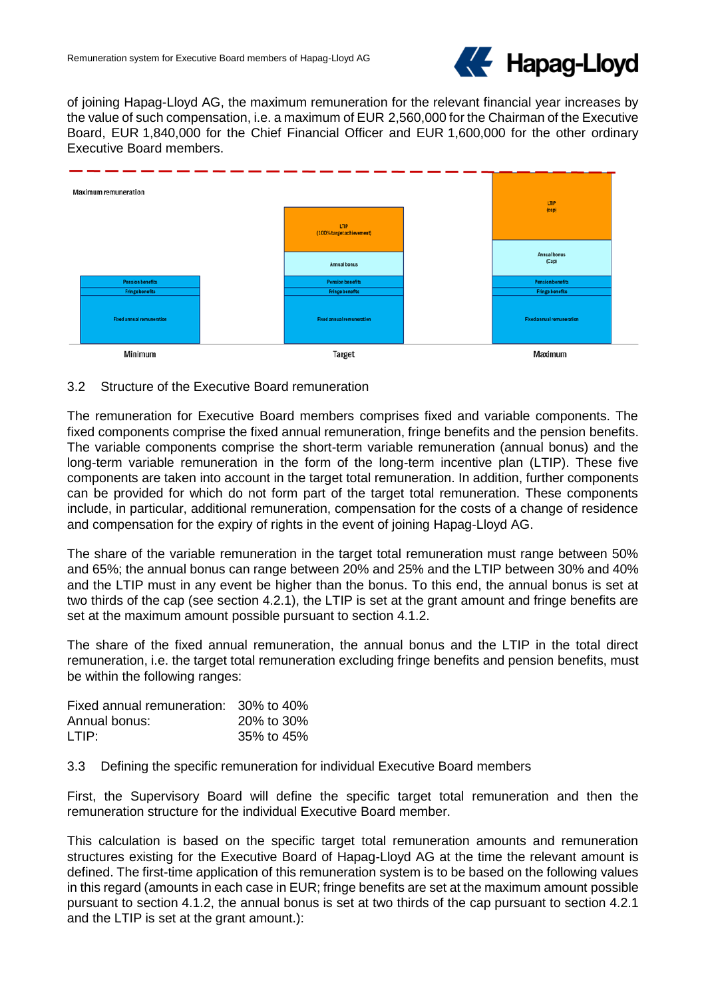

of joining Hapag-Lloyd AG, the maximum remuneration for the relevant financial year increases by the value of such compensation, i.e. a maximum of EUR 2,560,000 for the Chairman of the Executive Board, EUR 1,840,000 for the Chief Financial Officer and EUR 1,600,000 for the other ordinary Executive Board members.



# 3.2 Structure of the Executive Board remuneration

The remuneration for Executive Board members comprises fixed and variable components. The fixed components comprise the fixed annual remuneration, fringe benefits and the pension benefits. The variable components comprise the short-term variable remuneration (annual bonus) and the long-term variable remuneration in the form of the long-term incentive plan (LTIP). These five components are taken into account in the target total remuneration. In addition, further components can be provided for which do not form part of the target total remuneration. These components include, in particular, additional remuneration, compensation for the costs of a change of residence and compensation for the expiry of rights in the event of joining Hapag-Lloyd AG.

The share of the variable remuneration in the target total remuneration must range between 50% and 65%; the annual bonus can range between 20% and 25% and the LTIP between 30% and 40% and the LTIP must in any event be higher than the bonus. To this end, the annual bonus is set at two thirds of the cap (see section 4.2.1), the LTIP is set at the grant amount and fringe benefits are set at the maximum amount possible pursuant to section 4.1.2.

The share of the fixed annual remuneration, the annual bonus and the LTIP in the total direct remuneration, i.e. the target total remuneration excluding fringe benefits and pension benefits, must be within the following ranges:

| Fixed annual remuneration: 30% to 40% |            |
|---------------------------------------|------------|
| Annual bonus:                         | 20% to 30% |
| LTIP:                                 | 35% to 45% |

3.3 Defining the specific remuneration for individual Executive Board members

First, the Supervisory Board will define the specific target total remuneration and then the remuneration structure for the individual Executive Board member.

This calculation is based on the specific target total remuneration amounts and remuneration structures existing for the Executive Board of Hapag-Lloyd AG at the time the relevant amount is defined. The first-time application of this remuneration system is to be based on the following values in this regard (amounts in each case in EUR; fringe benefits are set at the maximum amount possible pursuant to section 4.1.2, the annual bonus is set at two thirds of the cap pursuant to section 4.2.1 and the LTIP is set at the grant amount.):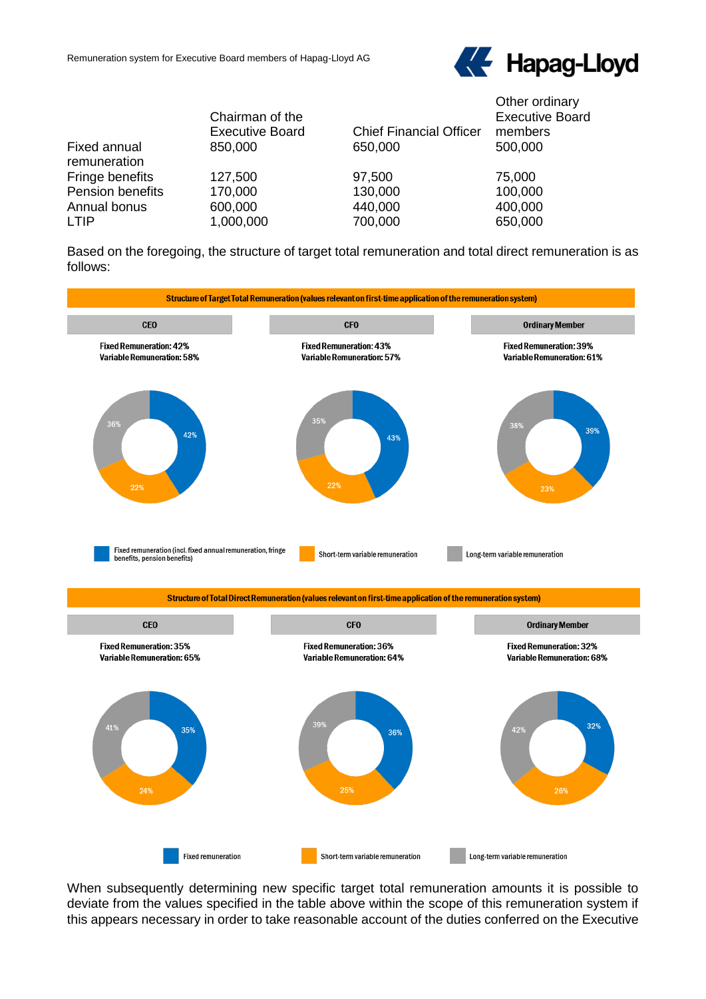

|                              | Chairman of the<br><b>Executive Board</b> | <b>Chief Financial Officer</b> | Other ordinary<br><b>Executive Board</b><br>members |
|------------------------------|-------------------------------------------|--------------------------------|-----------------------------------------------------|
| Fixed annual<br>remuneration | 850,000                                   | 650,000                        | 500,000                                             |
| Fringe benefits              | 127,500                                   | 97,500                         | 75,000                                              |
| Pension benefits             | 170,000                                   | 130,000                        | 100,000                                             |
| Annual bonus                 | 600,000                                   | 440,000                        | 400,000                                             |
| <b>LTIP</b>                  | 1,000,000                                 | 700,000                        | 650,000                                             |

Based on the foregoing, the structure of target total remuneration and total direct remuneration is as follows:



When subsequently determining new specific target total remuneration amounts it is possible to deviate from the values specified in the table above within the scope of this remuneration system if this appears necessary in order to take reasonable account of the duties conferred on the Executive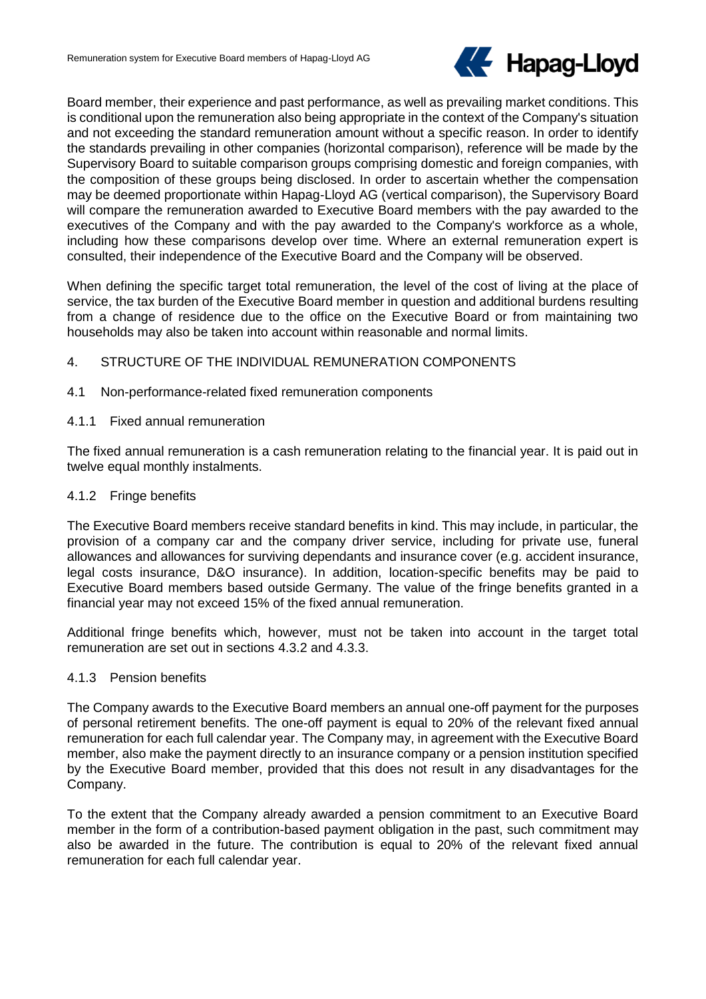

Board member, their experience and past performance, as well as prevailing market conditions. This is conditional upon the remuneration also being appropriate in the context of the Company's situation and not exceeding the standard remuneration amount without a specific reason. In order to identify the standards prevailing in other companies (horizontal comparison), reference will be made by the Supervisory Board to suitable comparison groups comprising domestic and foreign companies, with the composition of these groups being disclosed. In order to ascertain whether the compensation may be deemed proportionate within Hapag-Lloyd AG (vertical comparison), the Supervisory Board will compare the remuneration awarded to Executive Board members with the pay awarded to the executives of the Company and with the pay awarded to the Company's workforce as a whole, including how these comparisons develop over time. Where an external remuneration expert is consulted, their independence of the Executive Board and the Company will be observed.

When defining the specific target total remuneration, the level of the cost of living at the place of service, the tax burden of the Executive Board member in question and additional burdens resulting from a change of residence due to the office on the Executive Board or from maintaining two households may also be taken into account within reasonable and normal limits.

# 4. STRUCTURE OF THE INDIVIDUAL REMUNERATION COMPONENTS

- 4.1 Non-performance-related fixed remuneration components
- 4.1.1 Fixed annual remuneration

The fixed annual remuneration is a cash remuneration relating to the financial year. It is paid out in twelve equal monthly instalments.

### 4.1.2 Fringe benefits

The Executive Board members receive standard benefits in kind. This may include, in particular, the provision of a company car and the company driver service, including for private use, funeral allowances and allowances for surviving dependants and insurance cover (e.g. accident insurance, legal costs insurance, D&O insurance). In addition, location-specific benefits may be paid to Executive Board members based outside Germany. The value of the fringe benefits granted in a financial year may not exceed 15% of the fixed annual remuneration.

Additional fringe benefits which, however, must not be taken into account in the target total remuneration are set out in sections 4.3.2 and 4.3.3.

### 4.1.3 Pension benefits

The Company awards to the Executive Board members an annual one-off payment for the purposes of personal retirement benefits. The one-off payment is equal to 20% of the relevant fixed annual remuneration for each full calendar year. The Company may, in agreement with the Executive Board member, also make the payment directly to an insurance company or a pension institution specified by the Executive Board member, provided that this does not result in any disadvantages for the Company.

To the extent that the Company already awarded a pension commitment to an Executive Board member in the form of a contribution-based payment obligation in the past, such commitment may also be awarded in the future. The contribution is equal to 20% of the relevant fixed annual remuneration for each full calendar year.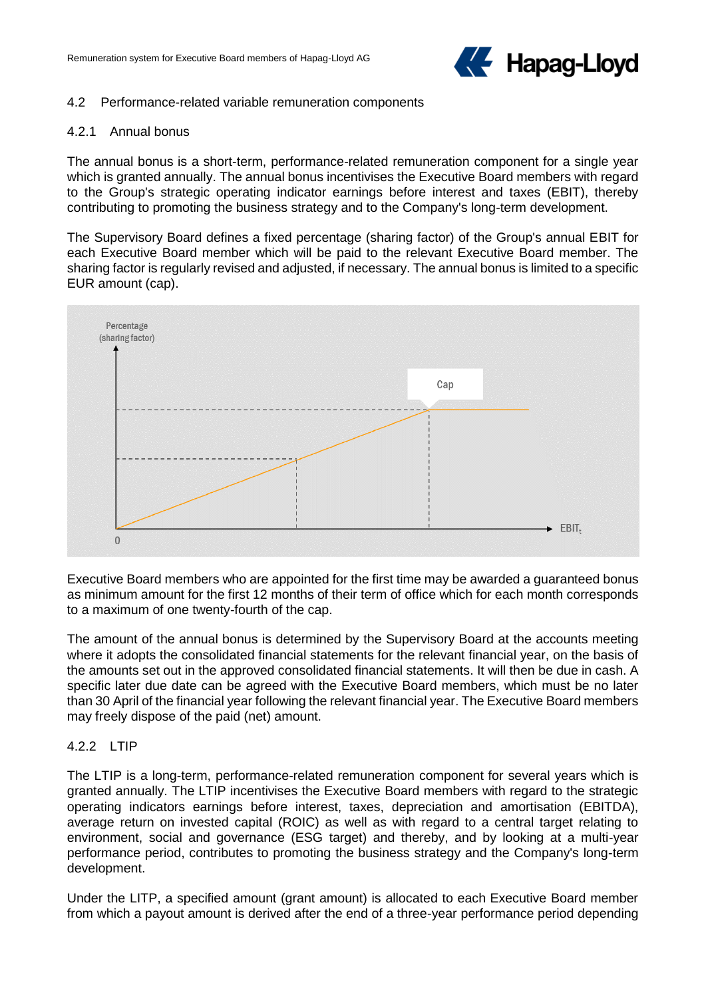

#### 4.2 Performance-related variable remuneration components

#### 4.2.1 Annual bonus

The annual bonus is a short-term, performance-related remuneration component for a single year which is granted annually. The annual bonus incentivises the Executive Board members with regard to the Group's strategic operating indicator earnings before interest and taxes (EBIT), thereby contributing to promoting the business strategy and to the Company's long-term development.

The Supervisory Board defines a fixed percentage (sharing factor) of the Group's annual EBIT for each Executive Board member which will be paid to the relevant Executive Board member. The sharing factor is regularly revised and adjusted, if necessary. The annual bonus is limited to a specific EUR amount (cap).



Executive Board members who are appointed for the first time may be awarded a guaranteed bonus as minimum amount for the first 12 months of their term of office which for each month corresponds to a maximum of one twenty-fourth of the cap.

The amount of the annual bonus is determined by the Supervisory Board at the accounts meeting where it adopts the consolidated financial statements for the relevant financial year, on the basis of the amounts set out in the approved consolidated financial statements. It will then be due in cash. A specific later due date can be agreed with the Executive Board members, which must be no later than 30 April of the financial year following the relevant financial year. The Executive Board members may freely dispose of the paid (net) amount.

### 4.2.2 LTIP

The LTIP is a long-term, performance-related remuneration component for several years which is granted annually. The LTIP incentivises the Executive Board members with regard to the strategic operating indicators earnings before interest, taxes, depreciation and amortisation (EBITDA), average return on invested capital (ROIC) as well as with regard to a central target relating to environment, social and governance (ESG target) and thereby, and by looking at a multi-year performance period, contributes to promoting the business strategy and the Company's long-term development.

Under the LITP, a specified amount (grant amount) is allocated to each Executive Board member from which a payout amount is derived after the end of a three-year performance period depending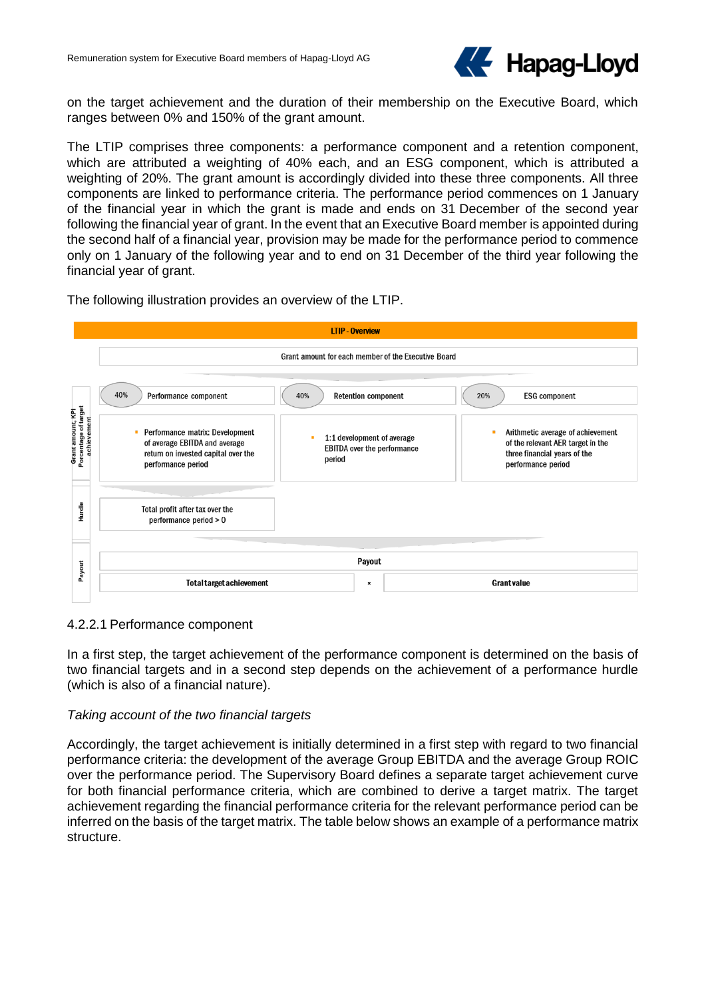

on the target achievement and the duration of their membership on the Executive Board, which ranges between 0% and 150% of the grant amount.

The LTIP comprises three components: a performance component and a retention component, which are attributed a weighting of 40% each, and an ESG component, which is attributed a weighting of 20%. The grant amount is accordingly divided into these three components. All three components are linked to performance criteria. The performance period commences on 1 January of the financial year in which the grant is made and ends on 31 December of the second year following the financial year of grant. In the event that an Executive Board member is appointed during the second half of a financial year, provision may be made for the performance period to commence only on 1 January of the following year and to end on 31 December of the third year following the financial year of grant.

The following illustration provides an overview of the LTIP.



### 4.2.2.1 Performance component

In a first step, the target achievement of the performance component is determined on the basis of two financial targets and in a second step depends on the achievement of a performance hurdle (which is also of a financial nature).

### *Taking account of the two financial targets*

Accordingly, the target achievement is initially determined in a first step with regard to two financial performance criteria: the development of the average Group EBITDA and the average Group ROIC over the performance period. The Supervisory Board defines a separate target achievement curve for both financial performance criteria, which are combined to derive a target matrix. The target achievement regarding the financial performance criteria for the relevant performance period can be inferred on the basis of the target matrix. The table below shows an example of a performance matrix structure.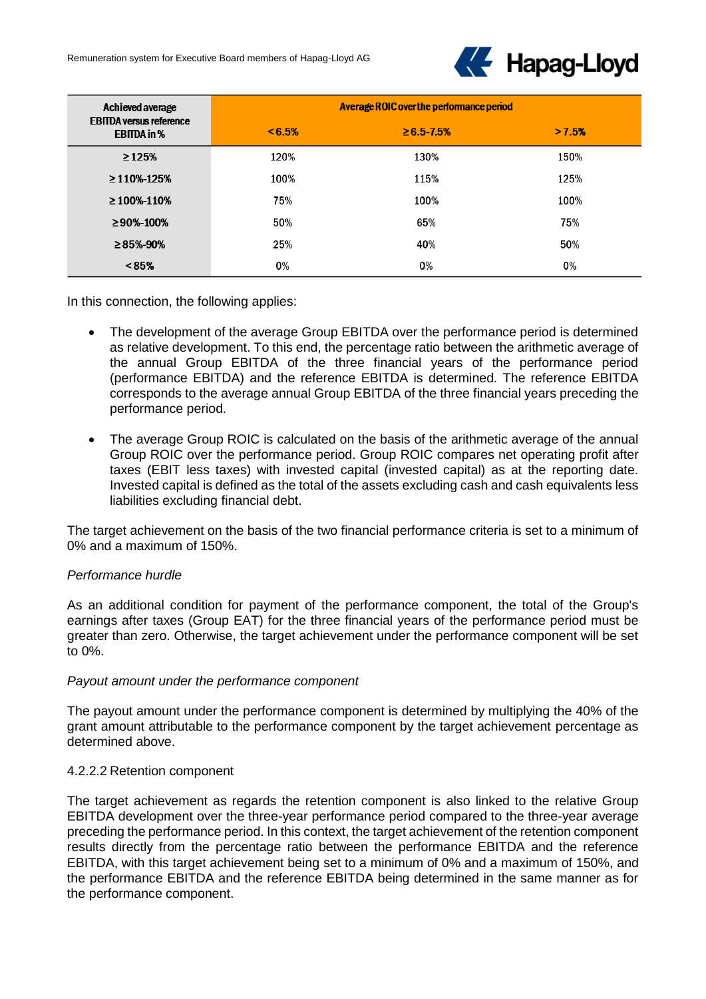

| Achieved average                                     | Average ROIC over the performance period |                    |       |
|------------------------------------------------------|------------------------------------------|--------------------|-------|
| <b>EBITDA versus reference</b><br><b>EBITDA</b> in % | $< 6.5\%$                                | $\geq 6.5 - 7.5\%$ | >7.5% |
| $\geq 125%$                                          | 120%                                     | 130%               | 150%  |
| $\geq$ 110%-125%                                     | 100%                                     | 115%               | 125%  |
| $\geq$ 100%-110%                                     | 75%                                      | 100%               | 100%  |
| $\geq$ 90%-100%                                      | 50%                                      | 65%                | 75%   |
| $\geq$ 85%-90%                                       | 25%                                      | 40%                | 50%   |
| $< 85\%$                                             | 0%                                       | 0%                 | 0%    |

In this connection, the following applies:

- The development of the average Group EBITDA over the performance period is determined as relative development. To this end, the percentage ratio between the arithmetic average of the annual Group EBITDA of the three financial years of the performance period (performance EBITDA) and the reference EBITDA is determined. The reference EBITDA corresponds to the average annual Group EBITDA of the three financial years preceding the performance period.
- The average Group ROIC is calculated on the basis of the arithmetic average of the annual Group ROIC over the performance period. Group ROIC compares net operating profit after taxes (EBIT less taxes) with invested capital (invested capital) as at the reporting date. Invested capital is defined as the total of the assets excluding cash and cash equivalents less liabilities excluding financial debt.

The target achievement on the basis of the two financial performance criteria is set to a minimum of 0% and a maximum of 150%.

### *Performance hurdle*

As an additional condition for payment of the performance component, the total of the Group's earnings after taxes (Group EAT) for the three financial years of the performance period must be greater than zero. Otherwise, the target achievement under the performance component will be set to 0%.

#### *Payout amount under the performance component*

The payout amount under the performance component is determined by multiplying the 40% of the grant amount attributable to the performance component by the target achievement percentage as determined above.

#### 4.2.2.2 Retention component

The target achievement as regards the retention component is also linked to the relative Group EBITDA development over the three-year performance period compared to the three-year average preceding the performance period. In this context, the target achievement of the retention component results directly from the percentage ratio between the performance EBITDA and the reference EBITDA, with this target achievement being set to a minimum of 0% and a maximum of 150%, and the performance EBITDA and the reference EBITDA being determined in the same manner as for the performance component.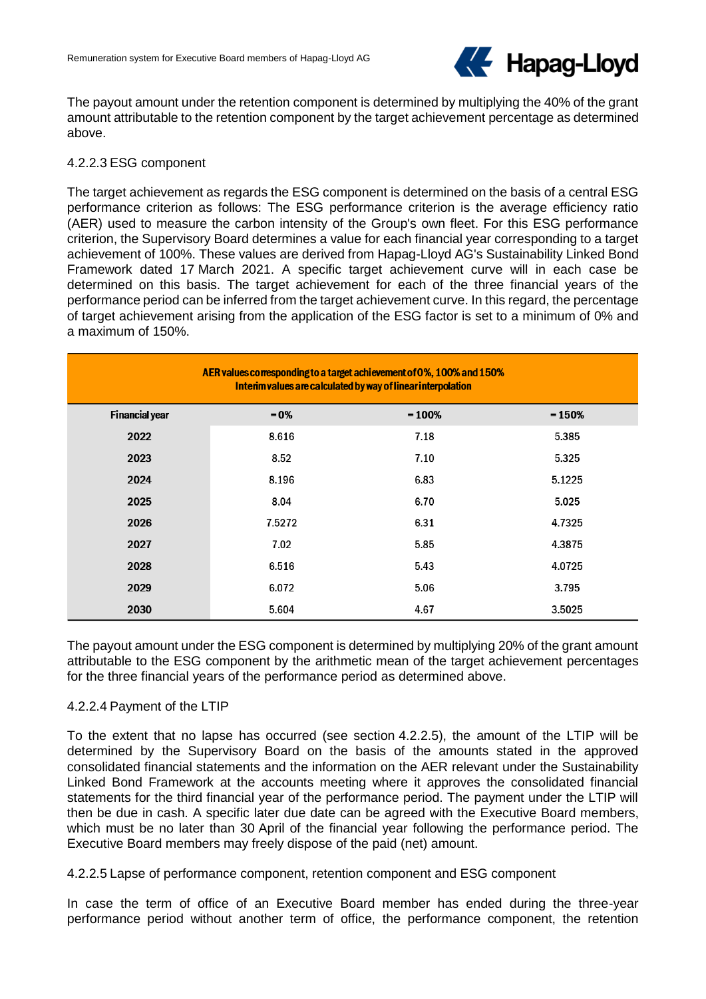

The payout amount under the retention component is determined by multiplying the 40% of the grant amount attributable to the retention component by the target achievement percentage as determined above.

### 4.2.2.3 ESG component

The target achievement as regards the ESG component is determined on the basis of a central ESG performance criterion as follows: The ESG performance criterion is the average efficiency ratio (AER) used to measure the carbon intensity of the Group's own fleet. For this ESG performance criterion, the Supervisory Board determines a value for each financial year corresponding to a target achievement of 100%. These values are derived from Hapag-Lloyd AG's Sustainability Linked Bond Framework dated 17 March 2021. A specific target achievement curve will in each case be determined on this basis. The target achievement for each of the three financial years of the performance period can be inferred from the target achievement curve. In this regard, the percentage of target achievement arising from the application of the ESG factor is set to a minimum of 0% and a maximum of 150%.

| AER values corresponding to a target achievement of 0%, 100% and 150%<br>Interim values are calculated by way of linear interpolation |         |          |          |  |  |  |  |
|---------------------------------------------------------------------------------------------------------------------------------------|---------|----------|----------|--|--|--|--|
| <b>Financial year</b>                                                                                                                 | $= 0\%$ | $= 100%$ | $= 150%$ |  |  |  |  |
| 2022                                                                                                                                  | 8.616   | 7.18     | 5.385    |  |  |  |  |
| 2023                                                                                                                                  | 8.52    | 7.10     | 5.325    |  |  |  |  |
| 2024                                                                                                                                  | 8.196   | 6.83     | 5.1225   |  |  |  |  |
| 2025                                                                                                                                  | 8.04    | 6.70     | 5.025    |  |  |  |  |
| 2026                                                                                                                                  | 7.5272  | 6.31     | 4.7325   |  |  |  |  |
| 2027                                                                                                                                  | 7.02    | 5.85     | 4.3875   |  |  |  |  |
| 2028                                                                                                                                  | 6.516   | 5.43     | 4.0725   |  |  |  |  |
| 2029                                                                                                                                  | 6.072   | 5.06     | 3.795    |  |  |  |  |
| 2030                                                                                                                                  | 5.604   | 4.67     | 3.5025   |  |  |  |  |

The payout amount under the ESG component is determined by multiplying 20% of the grant amount attributable to the ESG component by the arithmetic mean of the target achievement percentages for the three financial years of the performance period as determined above.

### 4.2.2.4 Payment of the LTIP

To the extent that no lapse has occurred (see section 4.2.2.5), the amount of the LTIP will be determined by the Supervisory Board on the basis of the amounts stated in the approved consolidated financial statements and the information on the AER relevant under the Sustainability Linked Bond Framework at the accounts meeting where it approves the consolidated financial statements for the third financial year of the performance period. The payment under the LTIP will then be due in cash. A specific later due date can be agreed with the Executive Board members, which must be no later than 30 April of the financial year following the performance period. The Executive Board members may freely dispose of the paid (net) amount.

### 4.2.2.5 Lapse of performance component, retention component and ESG component

In case the term of office of an Executive Board member has ended during the three-year performance period without another term of office, the performance component, the retention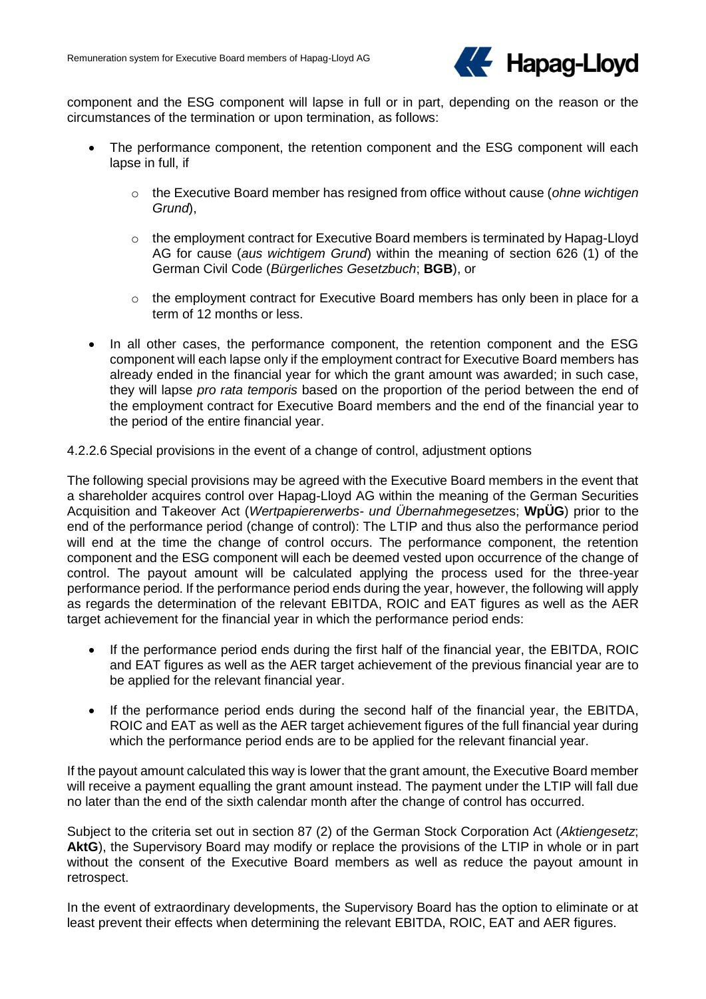

component and the ESG component will lapse in full or in part, depending on the reason or the circumstances of the termination or upon termination, as follows:

- The performance component, the retention component and the ESG component will each lapse in full, if
	- o the Executive Board member has resigned from office without cause (*ohne wichtigen Grund*),
	- o the employment contract for Executive Board members is terminated by Hapag-Lloyd AG for cause (*aus wichtigem Grund*) within the meaning of section 626 (1) of the German Civil Code (*Bürgerliches Gesetzbuch*; **BGB**), or
	- $\circ$  the employment contract for Executive Board members has only been in place for a term of 12 months or less.
- In all other cases, the performance component, the retention component and the ESG component will each lapse only if the employment contract for Executive Board members has already ended in the financial year for which the grant amount was awarded; in such case, they will lapse *pro rata temporis* based on the proportion of the period between the end of the employment contract for Executive Board members and the end of the financial year to the period of the entire financial year.

4.2.2.6 Special provisions in the event of a change of control, adjustment options

The following special provisions may be agreed with the Executive Board members in the event that a shareholder acquires control over Hapag-Lloyd AG within the meaning of the German Securities Acquisition and Takeover Act (*Wertpapiererwerbs- und Übernahmegesetze*s; **WpÜG**) prior to the end of the performance period (change of control): The LTIP and thus also the performance period will end at the time the change of control occurs. The performance component, the retention component and the ESG component will each be deemed vested upon occurrence of the change of control. The payout amount will be calculated applying the process used for the three-year performance period. If the performance period ends during the year, however, the following will apply as regards the determination of the relevant EBITDA, ROIC and EAT figures as well as the AER target achievement for the financial year in which the performance period ends:

- If the performance period ends during the first half of the financial year, the EBITDA, ROIC and EAT figures as well as the AER target achievement of the previous financial year are to be applied for the relevant financial year.
- If the performance period ends during the second half of the financial year, the EBITDA, ROIC and EAT as well as the AER target achievement figures of the full financial year during which the performance period ends are to be applied for the relevant financial year.

If the payout amount calculated this way is lower that the grant amount, the Executive Board member will receive a payment equalling the grant amount instead. The payment under the LTIP will fall due no later than the end of the sixth calendar month after the change of control has occurred.

Subject to the criteria set out in section 87 (2) of the German Stock Corporation Act (*Aktiengesetz*; AktG), the Supervisory Board may modify or replace the provisions of the LTIP in whole or in part without the consent of the Executive Board members as well as reduce the payout amount in retrospect.

In the event of extraordinary developments, the Supervisory Board has the option to eliminate or at least prevent their effects when determining the relevant EBITDA, ROIC, EAT and AER figures.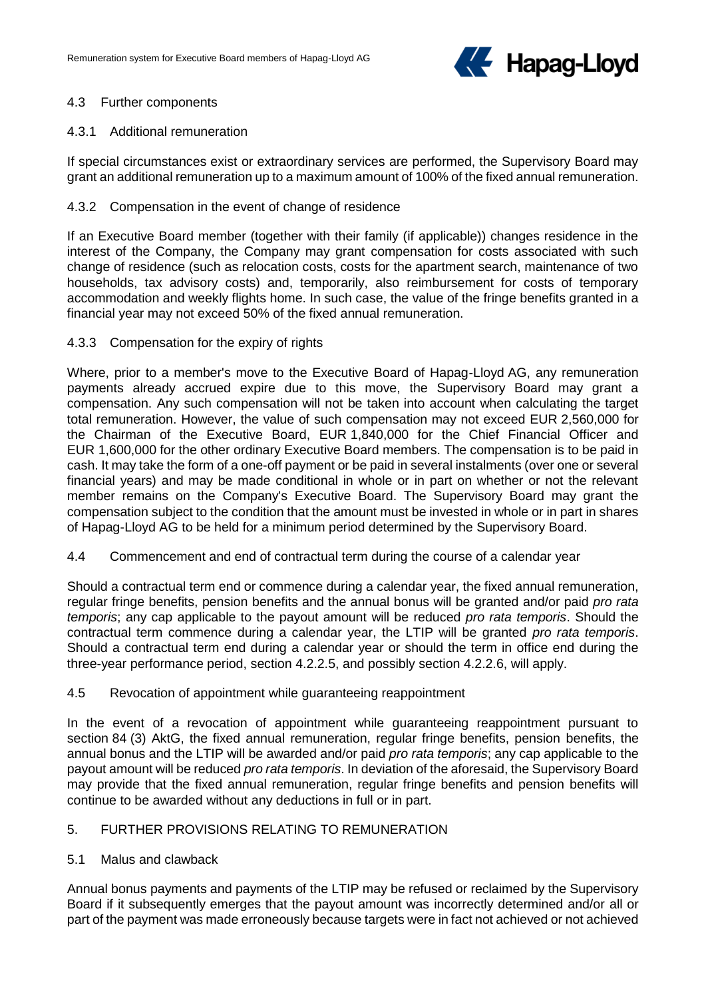

### 4.3 Further components

# 4.3.1 Additional remuneration

If special circumstances exist or extraordinary services are performed, the Supervisory Board may grant an additional remuneration up to a maximum amount of 100% of the fixed annual remuneration.

### 4.3.2 Compensation in the event of change of residence

If an Executive Board member (together with their family (if applicable)) changes residence in the interest of the Company, the Company may grant compensation for costs associated with such change of residence (such as relocation costs, costs for the apartment search, maintenance of two households, tax advisory costs) and, temporarily, also reimbursement for costs of temporary accommodation and weekly flights home. In such case, the value of the fringe benefits granted in a financial year may not exceed 50% of the fixed annual remuneration.

# 4.3.3 Compensation for the expiry of rights

Where, prior to a member's move to the Executive Board of Hapag-Lloyd AG, any remuneration payments already accrued expire due to this move, the Supervisory Board may grant a compensation. Any such compensation will not be taken into account when calculating the target total remuneration. However, the value of such compensation may not exceed EUR 2,560,000 for the Chairman of the Executive Board, EUR 1,840,000 for the Chief Financial Officer and EUR 1,600,000 for the other ordinary Executive Board members. The compensation is to be paid in cash. It may take the form of a one-off payment or be paid in several instalments (over one or several financial years) and may be made conditional in whole or in part on whether or not the relevant member remains on the Company's Executive Board. The Supervisory Board may grant the compensation subject to the condition that the amount must be invested in whole or in part in shares of Hapag-Lloyd AG to be held for a minimum period determined by the Supervisory Board.

### 4.4 Commencement and end of contractual term during the course of a calendar year

Should a contractual term end or commence during a calendar year, the fixed annual remuneration, regular fringe benefits, pension benefits and the annual bonus will be granted and/or paid *pro rata temporis*; any cap applicable to the payout amount will be reduced *pro rata temporis*. Should the contractual term commence during a calendar year, the LTIP will be granted *pro rata temporis*. Should a contractual term end during a calendar year or should the term in office end during the three-year performance period, section 4.2.2.5, and possibly section 4.2.2.6, will apply.

### 4.5 Revocation of appointment while guaranteeing reappointment

In the event of a revocation of appointment while guaranteeing reappointment pursuant to section 84 (3) AktG, the fixed annual remuneration, regular fringe benefits, pension benefits, the annual bonus and the LTIP will be awarded and/or paid *pro rata temporis*; any cap applicable to the payout amount will be reduced *pro rata temporis*. In deviation of the aforesaid, the Supervisory Board may provide that the fixed annual remuneration, regular fringe benefits and pension benefits will continue to be awarded without any deductions in full or in part.

### 5. FURTHER PROVISIONS RELATING TO REMUNERATION

### 5.1 Malus and clawback

Annual bonus payments and payments of the LTIP may be refused or reclaimed by the Supervisory Board if it subsequently emerges that the payout amount was incorrectly determined and/or all or part of the payment was made erroneously because targets were in fact not achieved or not achieved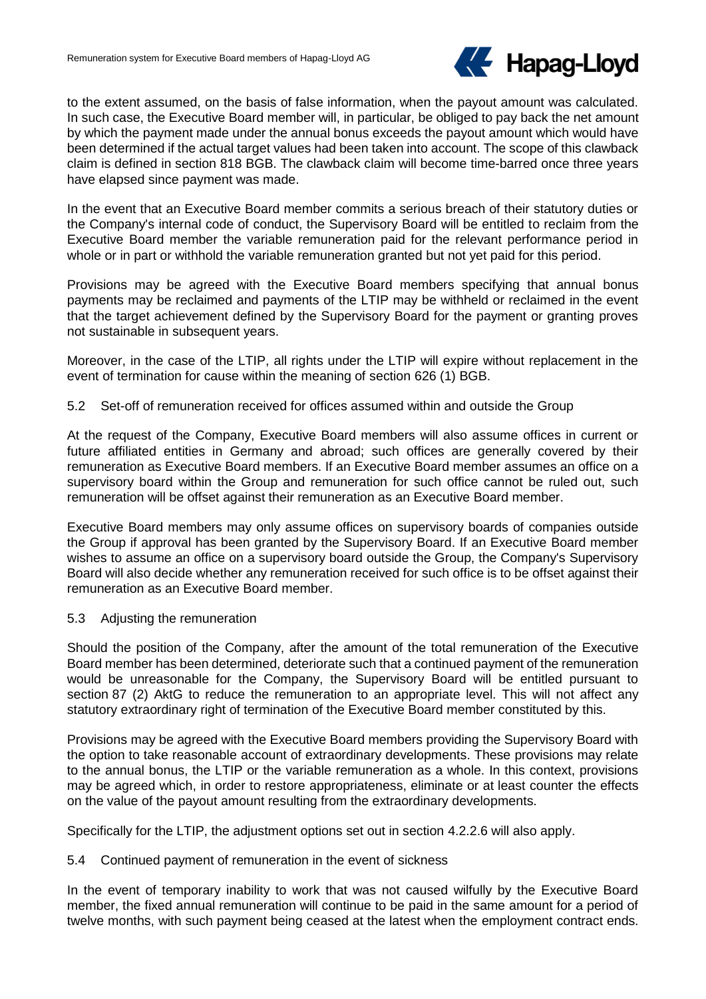

to the extent assumed, on the basis of false information, when the payout amount was calculated. In such case, the Executive Board member will, in particular, be obliged to pay back the net amount by which the payment made under the annual bonus exceeds the payout amount which would have been determined if the actual target values had been taken into account. The scope of this clawback claim is defined in section 818 BGB. The clawback claim will become time-barred once three years have elapsed since payment was made.

In the event that an Executive Board member commits a serious breach of their statutory duties or the Company's internal code of conduct, the Supervisory Board will be entitled to reclaim from the Executive Board member the variable remuneration paid for the relevant performance period in whole or in part or withhold the variable remuneration granted but not yet paid for this period.

Provisions may be agreed with the Executive Board members specifying that annual bonus payments may be reclaimed and payments of the LTIP may be withheld or reclaimed in the event that the target achievement defined by the Supervisory Board for the payment or granting proves not sustainable in subsequent years.

Moreover, in the case of the LTIP, all rights under the LTIP will expire without replacement in the event of termination for cause within the meaning of section 626 (1) BGB.

# 5.2 Set-off of remuneration received for offices assumed within and outside the Group

At the request of the Company, Executive Board members will also assume offices in current or future affiliated entities in Germany and abroad; such offices are generally covered by their remuneration as Executive Board members. If an Executive Board member assumes an office on a supervisory board within the Group and remuneration for such office cannot be ruled out, such remuneration will be offset against their remuneration as an Executive Board member.

Executive Board members may only assume offices on supervisory boards of companies outside the Group if approval has been granted by the Supervisory Board. If an Executive Board member wishes to assume an office on a supervisory board outside the Group, the Company's Supervisory Board will also decide whether any remuneration received for such office is to be offset against their remuneration as an Executive Board member.

### 5.3 Adjusting the remuneration

Should the position of the Company, after the amount of the total remuneration of the Executive Board member has been determined, deteriorate such that a continued payment of the remuneration would be unreasonable for the Company, the Supervisory Board will be entitled pursuant to section 87 (2) AktG to reduce the remuneration to an appropriate level. This will not affect any statutory extraordinary right of termination of the Executive Board member constituted by this.

Provisions may be agreed with the Executive Board members providing the Supervisory Board with the option to take reasonable account of extraordinary developments. These provisions may relate to the annual bonus, the LTIP or the variable remuneration as a whole. In this context, provisions may be agreed which, in order to restore appropriateness, eliminate or at least counter the effects on the value of the payout amount resulting from the extraordinary developments.

Specifically for the LTIP, the adjustment options set out in section 4.2.2.6 will also apply.

### 5.4 Continued payment of remuneration in the event of sickness

In the event of temporary inability to work that was not caused wilfully by the Executive Board member, the fixed annual remuneration will continue to be paid in the same amount for a period of twelve months, with such payment being ceased at the latest when the employment contract ends.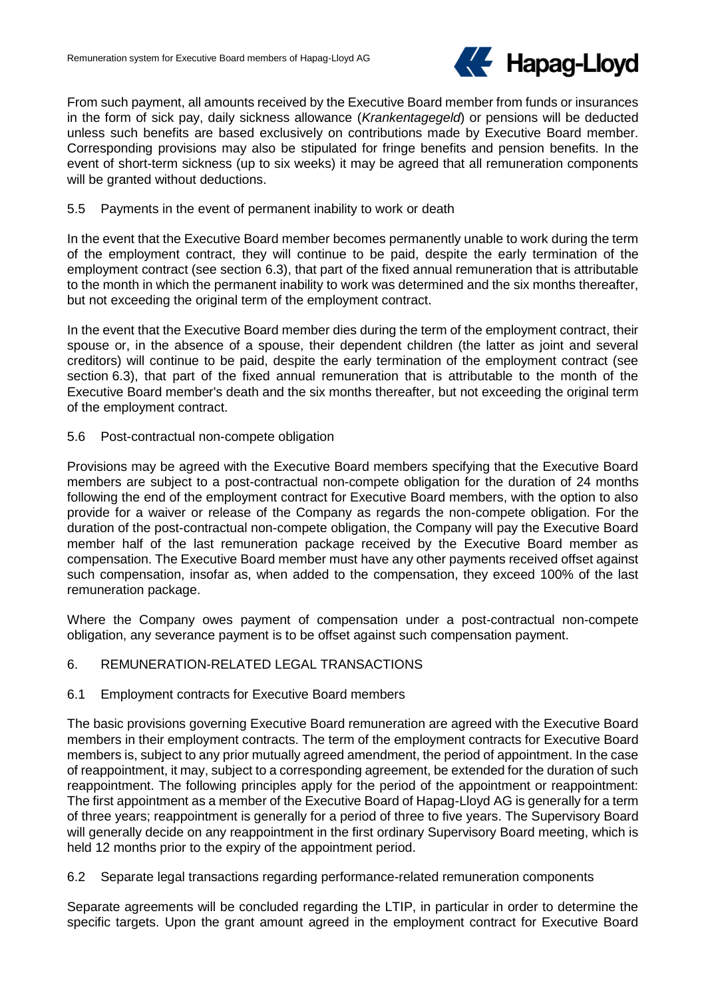

From such payment, all amounts received by the Executive Board member from funds or insurances in the form of sick pay, daily sickness allowance (*Krankentagegeld*) or pensions will be deducted unless such benefits are based exclusively on contributions made by Executive Board member. Corresponding provisions may also be stipulated for fringe benefits and pension benefits. In the event of short-term sickness (up to six weeks) it may be agreed that all remuneration components will be granted without deductions.

# 5.5 Payments in the event of permanent inability to work or death

In the event that the Executive Board member becomes permanently unable to work during the term of the employment contract, they will continue to be paid, despite the early termination of the employment contract (see section 6.3), that part of the fixed annual remuneration that is attributable to the month in which the permanent inability to work was determined and the six months thereafter, but not exceeding the original term of the employment contract.

In the event that the Executive Board member dies during the term of the employment contract, their spouse or, in the absence of a spouse, their dependent children (the latter as joint and several creditors) will continue to be paid, despite the early termination of the employment contract (see section 6.3), that part of the fixed annual remuneration that is attributable to the month of the Executive Board member's death and the six months thereafter, but not exceeding the original term of the employment contract.

5.6 Post-contractual non-compete obligation

Provisions may be agreed with the Executive Board members specifying that the Executive Board members are subject to a post-contractual non-compete obligation for the duration of 24 months following the end of the employment contract for Executive Board members, with the option to also provide for a waiver or release of the Company as regards the non-compete obligation. For the duration of the post-contractual non-compete obligation, the Company will pay the Executive Board member half of the last remuneration package received by the Executive Board member as compensation. The Executive Board member must have any other payments received offset against such compensation, insofar as, when added to the compensation, they exceed 100% of the last remuneration package.

Where the Company owes payment of compensation under a post-contractual non-compete obligation, any severance payment is to be offset against such compensation payment.

### 6. REMUNERATION-RELATED LEGAL TRANSACTIONS

### 6.1 Employment contracts for Executive Board members

The basic provisions governing Executive Board remuneration are agreed with the Executive Board members in their employment contracts. The term of the employment contracts for Executive Board members is, subject to any prior mutually agreed amendment, the period of appointment. In the case of reappointment, it may, subject to a corresponding agreement, be extended for the duration of such reappointment. The following principles apply for the period of the appointment or reappointment: The first appointment as a member of the Executive Board of Hapag-Lloyd AG is generally for a term of three years; reappointment is generally for a period of three to five years. The Supervisory Board will generally decide on any reappointment in the first ordinary Supervisory Board meeting, which is held 12 months prior to the expiry of the appointment period.

### 6.2 Separate legal transactions regarding performance-related remuneration components

Separate agreements will be concluded regarding the LTIP, in particular in order to determine the specific targets. Upon the grant amount agreed in the employment contract for Executive Board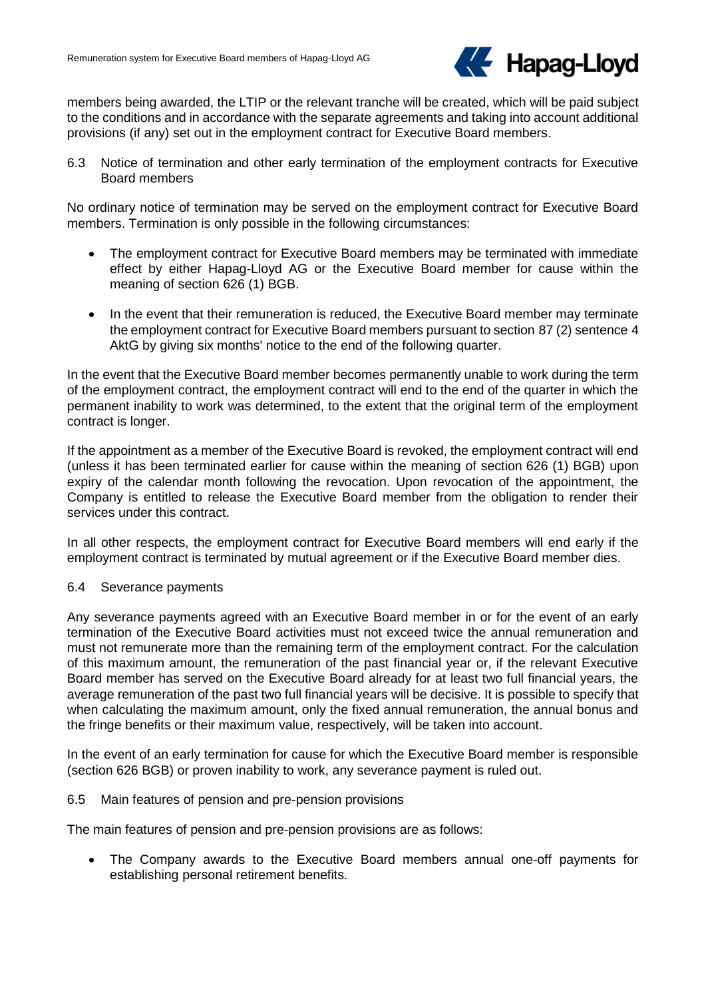

members being awarded, the LTIP or the relevant tranche will be created, which will be paid subject to the conditions and in accordance with the separate agreements and taking into account additional provisions (if any) set out in the employment contract for Executive Board members.

6.3 Notice of termination and other early termination of the employment contracts for Executive Board members

No ordinary notice of termination may be served on the employment contract for Executive Board members. Termination is only possible in the following circumstances:

- The employment contract for Executive Board members may be terminated with immediate effect by either Hapag-Lloyd AG or the Executive Board member for cause within the meaning of section 626 (1) BGB.
- In the event that their remuneration is reduced, the Executive Board member may terminate the employment contract for Executive Board members pursuant to section 87 (2) sentence 4 AktG by giving six months' notice to the end of the following quarter.

In the event that the Executive Board member becomes permanently unable to work during the term of the employment contract, the employment contract will end to the end of the quarter in which the permanent inability to work was determined, to the extent that the original term of the employment contract is longer.

If the appointment as a member of the Executive Board is revoked, the employment contract will end (unless it has been terminated earlier for cause within the meaning of section 626 (1) BGB) upon expiry of the calendar month following the revocation. Upon revocation of the appointment, the Company is entitled to release the Executive Board member from the obligation to render their services under this contract.

In all other respects, the employment contract for Executive Board members will end early if the employment contract is terminated by mutual agreement or if the Executive Board member dies.

### 6.4 Severance payments

Any severance payments agreed with an Executive Board member in or for the event of an early termination of the Executive Board activities must not exceed twice the annual remuneration and must not remunerate more than the remaining term of the employment contract. For the calculation of this maximum amount, the remuneration of the past financial year or, if the relevant Executive Board member has served on the Executive Board already for at least two full financial years, the average remuneration of the past two full financial years will be decisive. It is possible to specify that when calculating the maximum amount, only the fixed annual remuneration, the annual bonus and the fringe benefits or their maximum value, respectively, will be taken into account.

In the event of an early termination for cause for which the Executive Board member is responsible (section 626 BGB) or proven inability to work, any severance payment is ruled out.

### 6.5 Main features of pension and pre-pension provisions

The main features of pension and pre-pension provisions are as follows:

 The Company awards to the Executive Board members annual one-off payments for establishing personal retirement benefits.